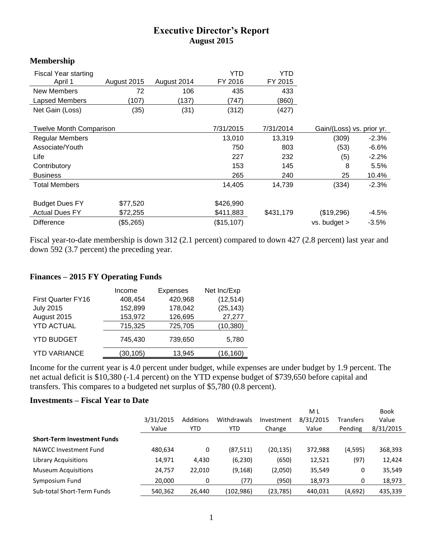## **Executive Director's Report August 2015**

## **Membership**

| <b>Fiscal Year starting</b>    |             |             | <b>YTD</b>  | <b>YTD</b> |                           |         |
|--------------------------------|-------------|-------------|-------------|------------|---------------------------|---------|
| April 1                        | August 2015 | August 2014 | FY 2016     | FY 2015    |                           |         |
| New Members                    | 72          | 106         | 435         | 433        |                           |         |
| Lapsed Members                 | (107)       | (137)       | (747)       | (860)      |                           |         |
| Net Gain (Loss)                | (35)        | (31)        | (312)       | (427)      |                           |         |
| <b>Twelve Month Comparison</b> |             |             | 7/31/2015   | 7/31/2014  | Gain/(Loss) vs. prior yr. |         |
| <b>Regular Members</b>         |             |             | 13,010      | 13,319     | (309)                     | $-2.3%$ |
| Associate/Youth                |             |             | 750         | 803        | (53)                      | $-6.6%$ |
| Life                           |             |             | 227         | 232        | (5)                       | $-2.2%$ |
| Contributory                   |             |             | 153         | 145        | 8                         | 5.5%    |
| <b>Business</b>                |             |             | 265         | 240        | 25                        | 10.4%   |
| Total Members                  |             |             | 14.405      | 14,739     | (334)                     | $-2.3%$ |
| <b>Budget Dues FY</b>          | \$77,520    |             | \$426,990   |            |                           |         |
| <b>Actual Dues FY</b>          | \$72,255    |             | \$411,883   | \$431,179  | (\$19,296)                | $-4.5%$ |
| <b>Difference</b>              | (\$5,265)   |             | (\$15, 107) |            | vs. budget >              | $-3.5%$ |

Fiscal year-to-date membership is down 312 (2.1 percent) compared to down 427 (2.8 percent) last year and down 592 (3.7 percent) the preceding year.

## **Finances – 2015 FY Operating Funds**

|                           | Income    | <b>Expenses</b> | Net Inc/Exp |
|---------------------------|-----------|-----------------|-------------|
| <b>First Quarter FY16</b> | 408,454   | 420,968         | (12, 514)   |
| <b>July 2015</b>          | 152,899   | 178,042         | (25, 143)   |
| August 2015               | 153,972   | 126,695         | 27,277      |
| <b>YTD ACTUAL</b>         | 715,325   | 725,705         | (10, 380)   |
| <b>YTD BUDGET</b>         | 745,430   | 739,650         | 5,780       |
| <b>YTD VARIANCE</b>       | (30, 105) | 13,945          | (16, 160)   |

Income for the current year is 4.0 percent under budget, while expenses are under budget by 1.9 percent. The net actual deficit is \$10,380 (-1.4 percent) on the YTD expense budget of \$739,650 before capital and transfers. This compares to a budgeted net surplus of \$5,780 (0.8 percent).

## **Investments – Fiscal Year to Date**

|                                    | 3/31/2015<br>Value | Additions<br>YTD | Withdrawals<br>YTD | Investment<br>Change | M L<br>8/31/2015<br>Value | <b>Transfers</b><br>Pending | <b>Book</b><br>Value<br>8/31/2015 |
|------------------------------------|--------------------|------------------|--------------------|----------------------|---------------------------|-----------------------------|-----------------------------------|
| <b>Short-Term Investment Funds</b> |                    |                  |                    |                      |                           |                             |                                   |
| NAWCC Investment Fund              | 480,634            | 0                | (87,511)           | (20, 135)            | 372,988                   | (4,595)                     | 368,393                           |
| <b>Library Acquisitions</b>        | 14,971             | 4,430            | (6, 230)           | (650)                | 12,521                    | (97)                        | 12,424                            |
| <b>Museum Acquisitions</b>         | 24,757             | 22,010           | (9, 168)           | (2,050)              | 35,549                    | 0                           | 35,549                            |
| Symposium Fund                     | 20,000             | 0                | (77)               | (950)                | 18,973                    | 0                           | 18,973                            |
| Sub-total Short-Term Funds         | 540,362            | 26,440           | (102, 986)         | (23, 785)            | 440,031                   | (4,692)                     | 435,339                           |